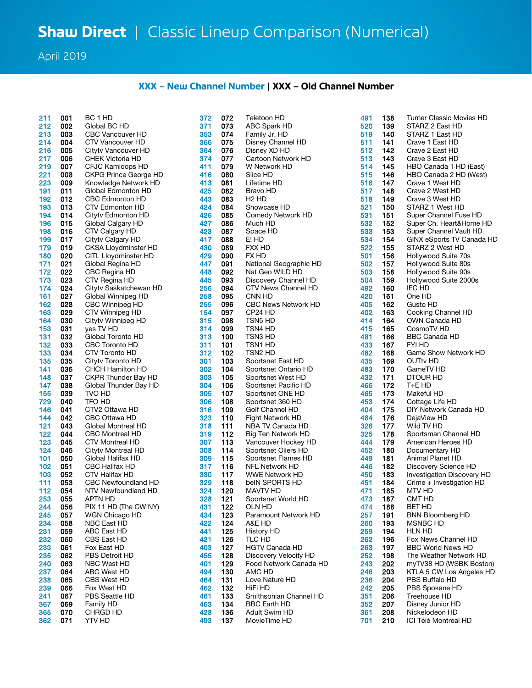April 2019

## **XXX – New Channel Number** | **XXX – Old Channel Number**

| 211 | <b>UUT</b> | BC J HD                      | 372 | U/2 | <b>Teletoon HD</b>         | 491 | 138 | Turner Classic Movies HD   |
|-----|------------|------------------------------|-----|-----|----------------------------|-----|-----|----------------------------|
| 212 | 002        | Global BC HD                 | 371 | 073 | ABC Spark HD               | 520 | 139 | STARZ 2 East HD            |
| 213 | 003        | <b>CBC Vancouver HD</b>      | 353 | 074 | Family Jr. HD              | 519 | 140 | STARZ 1 East HD            |
| 214 | 004        | CTV Vancouver HD             | 366 | 075 | Disney Channel HD          | 511 | 141 | Crave 1 East HD            |
|     |            |                              |     |     |                            |     |     |                            |
| 216 | 005        | Cityty Vancouver HD          | 364 | 076 | Disney XD HD               | 512 | 142 | Crave 2 East HD            |
| 217 | 006        | <b>CHEK Victoria HD</b>      | 374 | 077 | Cartoon Network HD         | 513 | 143 | Crave 3 East HD            |
| 219 | 007        | CFJC Kamloops HD             | 411 | 079 | W Network HD               | 514 | 145 | HBO Canada 1 HD (East)     |
| 221 | 008        | <b>CKPG Prince George HD</b> | 416 | 080 | Slice HD                   | 515 | 146 | HBO Canada 2 HD (West)     |
| 223 | 009        | Knowledge Network HD         | 413 | 081 | Lifetime HD                | 516 | 147 | Crave 1 West HD            |
|     |            |                              |     |     |                            |     |     |                            |
| 191 | 011        | Global Edmonton HD           | 425 | 082 | Bravo HD                   | 517 | 148 | Crave 2 West HD            |
| 192 | 012        | <b>CBC Edmonton HD</b>       | 443 | 083 | H <sub>2</sub> HD          | 518 | 149 | Crave 3 West HD            |
| 193 | 013        | <b>CTV Edmonton HD</b>       | 424 | 084 | Showcase HD                | 521 | 150 | STARZ 1 West HD            |
| 194 | 014        | Cityty Edmonton HD           | 426 | 085 | Comedy Network HD          | 531 | 151 | Super Channel Fuse HD      |
| 196 | 015        | Global Calgary HD            | 427 | 086 | Much HD                    | 532 | 152 | Super Ch. Heart&Home HD    |
|     |            |                              |     |     |                            |     |     |                            |
| 198 | 016        | CTV Calgary HD               | 423 | 087 | Space HD                   | 533 | 153 | Super Channel Vault HD     |
| 199 | 017        | Cityty Calgary HD            | 417 | 088 | E! HD                      | 534 | 154 | GINX eSports TV Canada H   |
| 179 | 019        | <b>CKSA Lloydminster HD</b>  | 430 | 089 | FXX HD                     | 522 | 155 | STARZ 2 West HD            |
| 180 | 020        | CITL Lloydminster HD         | 429 | 090 | FX HD                      | 501 | 156 | Hollywood Suite 70s        |
| 171 | 021        | Global Regina HD             | 447 | 091 | National Geographic HD     | 502 | 157 | Hollywood Suite 80s        |
|     |            |                              |     |     |                            |     |     |                            |
| 172 | 022        | CBC Regina HD                | 448 | 092 | Nat Geo WILD HD            | 503 | 158 | Hollywood Suite 90s        |
| 173 | 023        | CTV Regina HD                | 445 | 093 | Discovery Channel HD       | 504 | 159 | Hollywood Suite 2000s      |
| 174 | 024        | Citytv Saskatchewan HD       | 256 | 094 | CTV News Channel HD        | 492 | 160 | IFC HD                     |
| 161 | 027        | Global Winnipeg HD           | 258 | 095 | CNN HD                     | 420 | 161 | One HD                     |
| 162 | 028        | CBC Winnipeg HD              | 255 | 096 | <b>CBC News Network HD</b> | 405 | 162 | Gusto HD                   |
| 163 | 029        | CTV Winnipeg HD              | 154 | 097 | CP24 HD                    | 402 | 163 | Cooking Channel HD         |
|     |            |                              |     |     |                            |     |     |                            |
| 164 | 030        | Cityty Winnipeg HD           | 315 | 098 | TSN5 HD                    | 414 | 164 | OWN Canada HD              |
| 153 | 031        | ves TV HD                    | 314 | 099 | TSN4 HD                    | 415 | 165 | CosmoTV HD                 |
| 131 | 032        | Global Toronto HD            | 313 | 100 | TSN3 HD                    | 481 | 166 | <b>BBC Canada HD</b>       |
| 132 | 033        | <b>CBC Toronto HD</b>        | 311 | 101 | TSN1 HD                    | 433 | 167 | FYI HD                     |
| 133 | 034        | CTV Toronto HD               | 312 | 102 | TSN2 HD                    | 482 | 168 | Game Show Network HD       |
|     | 035        | Cityty Toronto HD            |     | 103 |                            | 435 | 169 |                            |
| 135 |            |                              | 301 |     | Sportsnet East HD          |     |     | OUTty HD                   |
| 141 | 036        | <b>CHCH Hamilton HD</b>      | 302 | 104 | Sportsnet Ontario HD       | 483 | 170 | GameTV HD                  |
| 148 | 037        | CKPR Thunder Bay HD          | 303 | 105 | Sportsnet West HD          | 432 | 171 | DTOUR HD                   |
| 147 | 038        | Global Thunder Bay HD        | 304 | 106 | Sportsnet Pacific HD       | 466 | 172 | T+E HD                     |
| 155 | 039        | TVO HD                       | 305 | 107 | Sportsnet ONE HD           | 465 | 173 | Makeful HD                 |
| 729 | 040        | TFO HD                       | 306 | 108 | Sportsnet 360 HD           | 453 | 174 | Cottage Life HD            |
|     |            |                              |     |     |                            |     |     |                            |
| 146 | 041        | CTV2 Ottawa HD               | 316 | 109 | Golf Channel HD            | 404 | 175 | DIY Network Canada HD      |
| 144 | 042        | CBC Ottawa HD                | 323 | 110 | Fight Network HD           | 484 | 176 | DejaView HD                |
| 121 | 043        | Global Montreal HD           | 318 | 111 | NBA TV Canada HD           | 326 | 177 | Wild TV HD                 |
| 122 | 044        | <b>CBC Montreal HD</b>       | 319 | 112 | Big Ten Network HD         | 325 | 178 | Sportsman Channel HD       |
| 123 | 045        | CTV Montreal HD              | 307 | 113 | Vancouver Hockey HD        | 444 | 179 | American Heroes HD         |
| 124 | 046        | Cityty Montreal HD           | 308 | 114 | Sportsnet Oilers HD        | 452 | 180 | Documentary HD             |
|     |            |                              |     |     |                            |     |     |                            |
| 101 | 050        | Global Halifax HD            | 309 | 115 | Sportsnet Flames HD        | 449 | 181 | Animal Planet HD           |
| 102 | 051        | <b>CBC Halifax HD</b>        | 317 | 116 | NFL Network HD             | 446 | 182 | Discovery Science HD       |
| 103 | 052        | CTV Halifax HD               | 330 | 117 | <b>WWE Network HD</b>      | 450 | 183 | Investigation Discovery HD |
| 111 | 053        | <b>CBC Newfoundland HD</b>   | 329 | 118 | belN SPORTS HD             | 451 | 184 | Crime + Investigation HD   |
| 112 | 054        | NTV Newfoundland HD          | 324 | 120 | MAVTV HD                   | 471 | 185 | MTV HD                     |
| 253 | 055        | <b>APTN HD</b>               | 328 | 121 | Sportsnet World HD         | 473 | 187 | CMT HD                     |
|     |            |                              |     |     |                            |     |     |                            |
| 244 | 056        | PIX 11 HD (The CW NY)        | 431 | 122 | OLN HD                     | 474 | 188 | BET HD                     |
| 245 | 057        | WGN Chicago HD               | 434 | 123 | Paramount Network HD       | 257 | 191 | <b>BNN Bloomberg HD</b>    |
| 234 | 058        | NBC East HD                  | 422 | 124 | A&E HD                     | 260 | 193 | MSNBC HD                   |
| 231 | 059        | ABC East HD                  | 441 | 125 | History HD                 | 259 | 194 | HLN HD                     |
| 232 | 060        | CBS East HD                  | 421 | 126 | TLC HD                     | 262 | 196 | Fox News Channel HD        |
|     |            |                              | 403 | 127 |                            | 263 |     |                            |
| 233 | 061        | Fox East HD                  |     |     | HGTV Canada HD             |     | 197 | <b>BBC World News HD</b>   |
| 235 | 062        | PBS Detroit HD               | 455 | 128 | Discovery Velocity HD      | 252 | 198 | The Weather Network HD     |
| 240 | 063        | NBC West HD                  | 401 | 129 | Food Network Canada HD     | 243 | 202 | myTV38 HD (WSBK Bostor     |
| 237 | 064        | ABC West HD                  | 494 | 130 | AMC HD                     | 246 | 203 | KTLA 5 CW Los Angeles H    |
| 238 | 065        | CBS West HD                  | 464 | 131 | Love Nature HD             | 236 | 204 | PBS Buffalo HD             |
| 239 | 066        | Fox West HD                  | 462 | 132 | HiFi HD                    | 242 | 205 | PBS Spokane HD             |
|     |            |                              |     | 133 |                            |     | 206 | Treehouse HD               |
| 241 | 067        | PBS Seattle HD               | 461 |     | Smithsonian Channel HD     | 351 |     |                            |
| 367 | 069        | Family HD                    | 463 | 134 | BBC Earth HD               | 352 | 207 | Disney Junior HD           |
| 365 | 070        | CHRGD HD                     | 428 | 136 | Adult Swim HD              | 361 | 208 | Nickelodeon HD             |
| 362 | 071        | YTV HD                       | 493 | 137 | MovieTime HD               | 701 | 210 | ICI Télé Montreal HD       |
|     |            |                              |     |     |                            |     |     |                            |

| 71       | 073        | <b>ABC Spark HD</b>                      |
|----------|------------|------------------------------------------|
| 53       | 074        | Family Jr. HD                            |
| 66       | 075        | Disney Channel HD                        |
| 64       | 076        | Disney XD HD                             |
| 74       | 077        | Cartoon Network HD                       |
| 11       | 079        | W Network HD                             |
| 16       | 080        | Slice HD                                 |
| 13       | 081        | Lifetime HD                              |
| 25       | 082        | Bravo HD                                 |
| 43       | 083        | H <sub>2</sub> HD                        |
| 24       | 084        | Showcase HD                              |
| 26<br>27 | 085        | Comedy Network HD                        |
| 23       | 086<br>087 | Much HD<br>Space HD                      |
| 17       | 088        | E! HD                                    |
| 30       | 089        | FXX HD                                   |
| 29       | 090        | FX HD                                    |
| 47       | 091        | National Geographic HD                   |
| 48       | 092        | Nat Geo WILD HD                          |
| 45       | 093        | Discovery Channel HD                     |
| 56       | 094        | CTV News Channel HD                      |
| 58       | 095        | CNN HD                                   |
| 55       | 096        | <b>CBC News Network HD</b>               |
| 54       | 097        | CP24 HD                                  |
| 15       | 098        | TSN5 HD                                  |
| 14       | 099        | TSN4 HD                                  |
| 13       | 100        | TSN3 HD                                  |
| 11       | 101        | tsn1 hd                                  |
| 12       | 102        | tsn2 hd                                  |
| 01       | 103        | Sportsnet East HD                        |
| 02       | 104        | Sportsnet Ontario HD                     |
| 03<br>04 | 105<br>106 | Sportsnet West HD                        |
| 05       | 107        | Sportsnet Pacific HD<br>Sportsnet ONE HD |
| 06       | 108        | Sportsnet 360 HD                         |
| 16       | 109        | Golf Channel HD                          |
| 23       | 110        | Fight Network HD                         |
| 18       | 111        | NBA TV Canada HD                         |
| 19       | 112        | <b>Big Ten Network HD</b>                |
| 07       | 113        | Vancouver Hockey HD                      |
| 08       | 114        | Sportsnet Oilers HD                      |
| 09       | 115        | Sportsnet Flames HD                      |
| 17       | 116        | <b>NFL Network HD</b>                    |
| 30       | 117        | WWE Network HD                           |
| 29       | 118        | belN SPORTS HD                           |
| 24       | 120        | MAVTV HD                                 |
| 28       | 121        | Sportsnet World HD                       |
| 31<br>34 | 122<br>123 | OLN HD                                   |
| 22       | 124        | Paramount Network HD<br>A&E HD           |
| 41       | 125        | History HD                               |
| 21       | 126        | TLC HD                                   |
| 03       | 127        | <b>HGTV Canada HD</b>                    |
| 55       | 128        | Discovery Velocity HD                    |
| 01       | 129        | Food Network Canada HD                   |
| 94       | 130        | AMC HD                                   |
| 64       | 131        | Love Nature HD                           |
| 62       | 132        | HiFi HD                                  |
| 61       | 133        | Smithsonian Channel HD                   |
| 63       | 134        | <b>BBC Earth HD</b>                      |
| 28       | 136        | <b>Adult Swim HD</b>                     |
| 93       | 137        | MovieTime HD                             |

| 211        | 001        | BC 1 HD                      | 372 | 072 | Teletoon HD                   | 491 | 138        | <b>Turner Classic Movies HD</b> |
|------------|------------|------------------------------|-----|-----|-------------------------------|-----|------------|---------------------------------|
| 212        | 002        | Global BC HD                 | 371 | 073 | <b>ABC Spark HD</b>           | 520 | 139        | STARZ 2 East HD                 |
| 213        | 003        | <b>CBC Vancouver HD</b>      | 353 | 074 | Family Jr. HD                 | 519 | 140        | STARZ 1 East HD                 |
| 214        | 004        | CTV Vancouver HD             | 366 | 075 | Disney Channel HD             | 511 | 141        | Crave 1 East HD                 |
| 216        | 005        | Cityty Vancouver HD          | 364 | 076 | Disney XD HD                  | 512 | 142        | Crave 2 East HD                 |
| 217        | 006        | <b>CHEK Victoria HD</b>      | 374 | 077 | Cartoon Network HD            | 513 | 143        | Crave 3 East HD                 |
| 219        | 007        | CFJC Kamloops HD             | 411 | 079 | W Network HD                  | 514 | 145        | HBO Canada 1 HD (East)          |
| 221        | 008        | <b>CKPG Prince George HD</b> | 416 | 080 | Slice HD                      | 515 | 146        | HBO Canada 2 HD (West)          |
| 223        | 009        | Knowledge Network HD         | 413 | 081 | Lifetime HD                   | 516 | 147        | Crave 1 West HD                 |
| 191        | 011        | Global Edmonton HD           | 425 | 082 | Bravo HD                      | 517 | 148        | Crave 2 West HD                 |
| 192        | 012        | <b>CBC Edmonton HD</b>       | 443 | 083 | H <sub>2</sub> H <sub>D</sub> | 518 | 149        | Crave 3 West HD                 |
| 193        | 013        | CTV Edmonton HD              | 424 | 084 | Showcase HD                   | 521 | 150        | STARZ 1 West HD                 |
| 194        | 014        | Cityty Edmonton HD           | 426 | 085 | Comedy Network HD             | 531 | 151        | Super Channel Fuse HD           |
| 196        | 015        | Global Calgary HD            | 427 | 086 | Much HD                       | 532 | 152        | Super Ch. Heart&Home HD         |
| 198        | 016        | CTV Calgary HD               | 423 | 087 | Space HD                      | 533 | 153        | Super Channel Vault HD          |
| 199        | 017        | Cityty Calgary HD            | 417 | 088 | E! HD                         | 534 | 154        | GINX eSports TV Canada HD       |
| 179        | 019        | <b>CKSA Lloydminster HD</b>  | 430 | 089 | FXX HD                        | 522 | 155        | STARZ 2 West HD                 |
| 180        | 020        | CITL Lloydminster HD         | 429 | 090 | FX HD                         | 501 | 156        | Hollywood Suite 70s             |
| 171        | 021        | Global Regina HD             | 447 | 091 | National Geographic HD        | 502 | 157        | Hollywood Suite 80s             |
| 172        | 022        | CBC Regina HD                | 448 | 092 | Nat Geo WILD HD               | 503 | 158        | Hollywood Suite 90s             |
| 173        | 023        | CTV Regina HD                | 445 | 093 | Discovery Channel HD          | 504 | 159        | Hollywood Suite 2000s           |
| 174        | 024        | Cityty Saskatchewan HD       | 256 | 094 | CTV News Channel HD           | 492 | 160        | IFC HD                          |
| 161        | 027        | Global Winnipeg HD           | 258 | 095 | CNN HD                        | 420 | 161        | One HD                          |
| 162        | 028        | CBC Winnipeg HD              | 255 | 096 | <b>CBC News Network HD</b>    | 405 | 162        | Gusto HD                        |
| 163        | 029        | CTV Winnipeg HD              | 154 | 097 | CP <sub>24</sub> HD           | 402 | 163        | Cooking Channel HD              |
| 164        | 030        | Cityty Winnipeg HD           | 315 | 098 | TSN5 HD                       | 414 | 164        | OWN Canada HD                   |
| 153        | 031        | yes TV HD                    | 314 | 099 | TSN4 HD                       | 415 | 165        | CosmoTV HD                      |
| 131        | 032        | Global Toronto HD            | 313 | 100 | TSN3 HD                       | 481 | 166        | BBC Canada HD                   |
| 132        | 033        | <b>CBC Toronto HD</b>        | 311 | 101 | TSN1 HD                       | 433 | 167        | FYI HD                          |
| 133        | 034        | CTV Toronto HD               | 312 | 102 | TSN2 HD                       | 482 | 168        | Game Show Network HD            |
| 135        | 035        | Cityty Toronto HD            | 301 | 103 | Sportsnet East HD             | 435 | 169        | <b>OUTty HD</b>                 |
|            | 036        |                              | 302 | 104 |                               | 483 |            | GameTV HD                       |
| 141        | 037        | <b>CHCH Hamilton HD</b>      | 303 | 105 | Sportsnet Ontario HD          | 432 | 170<br>171 | <b>DTOUR HD</b>                 |
| 148<br>147 | 038        | <b>CKPR Thunder Bay HD</b>   | 304 | 106 | Sportsnet West HD             | 466 | 172        | T+E HD                          |
|            |            | Global Thunder Bay HD        |     |     | Sportsnet Pacific HD          |     |            |                                 |
| 155        | 039<br>040 | TVO HD                       | 305 | 107 | Sportsnet ONE HD              | 465 | 173        | Makeful HD                      |
| 729        |            | TFO HD                       | 306 | 108 | Sportsnet 360 HD              | 453 | 174        | Cottage Life HD                 |
| 146        | 041        | CTV2 Ottawa HD               | 316 | 109 | Golf Channel HD               | 404 | 175        | DIY Network Canada HD           |
| 144        | 042        | CBC Ottawa HD                | 323 | 110 | Fight Network HD              | 484 | 176        | DejaView HD                     |
| 121        | 043        | Global Montreal HD           | 318 | 111 | NBA TV Canada HD              | 326 | 177        | Wild TV HD                      |
| 122        | 044        | <b>CBC Montreal HD</b>       | 319 | 112 | Big Ten Network HD            | 325 | 178        | Sportsman Channel HD            |
| 123        | 045        | CTV Montreal HD              | 307 | 113 | Vancouver Hockey HD           | 444 | 179        | American Heroes HD              |
| 124        | 046        | Cityty Montreal HD           | 308 | 114 | Sportsnet Oilers HD           | 452 | 180        | Documentary HD                  |
| 101        | 050        | Global Halifax HD            | 309 | 115 | Sportsnet Flames HD           | 449 | 181        | Animal Planet HD                |
| 102        | 051        | <b>CBC Halifax HD</b>        | 317 | 116 | <b>NFL Network HD</b>         | 446 | 182        | Discovery Science HD            |
| 103        | 052        | CTV Halifax HD               | 330 | 117 | <b>WWE Network HD</b>         | 450 | 183        | Investigation Discovery HD      |
| 111        | 053        | <b>CBC Newfoundland HD</b>   | 329 | 118 | belN SPORTS HD                | 451 | 184        | Crime + Investigation HD        |
| 112        | 054        | NTV Newfoundland HD          | 324 | 120 | MAVTV HD                      | 471 | 185        | MTV HD                          |
| 253        | 055        | APTN HD                      | 328 | 121 | Sportsnet World HD            | 473 | 187        | CMT HD                          |
| 244        | 056        | PIX 11 HD (The CW NY)        | 431 | 122 | OLN HD                        | 474 | 188        | <b>BET HD</b>                   |
| 245        | 057        | WGN Chicago HD               | 434 | 123 | Paramount Network HD          | 257 | 191        | <b>BNN Bloomberg HD</b>         |
| 234        | 058        | NBC East HD                  | 422 | 124 | A&E HD                        | 260 | 193        | <b>MSNBC HD</b>                 |
| 231        | 059        | ABC East HD                  | 441 | 125 | History HD                    | 259 | 194        | <b>HLN HD</b>                   |
| 232        | 060        | CBS East HD                  | 421 | 126 | TLC HD                        | 262 | 196        | Fox News Channel HD             |
| 233        | 061        | Fox East HD                  | 403 | 127 | <b>HGTV Canada HD</b>         | 263 | 197        | <b>BBC World News HD</b>        |
| 235        | 062        | PBS Detroit HD               | 455 | 128 | Discovery Velocity HD         | 252 | 198        | The Weather Network HD          |
| 240        | 063        | NBC West HD                  | 401 | 129 | Food Network Canada HD        | 243 | 202        | myTV38 HD (WSBK Boston)         |
| 237        | 064        | ABC West HD                  | 494 | 130 | AMC HD                        | 246 | 203        | KTLA 5 CW Los Angeles HD        |
| 238        | 065        | CBS West HD                  | 464 | 131 | Love Nature HD                | 236 | 204        | PBS Buffalo HD                  |
| 239        | 066        | Fox West HD                  | 462 | 132 | HiFi HD                       | 242 | 205        | PBS Spokane HD                  |
| 241        | 067        | PBS Seattle HD               | 461 | 133 | Smithsonian Channel HD        | 351 | 206        | Treehouse HD                    |
| 367        | 069        | Family HD                    | 463 | 134 | <b>BBC Earth HD</b>           | 352 | 207        | Disney Junior HD                |
| 365        | 070        | CHRGD HD                     | 428 | 136 | Adult Swim HD                 | 361 | 208        | Nickelodeon HD                  |
| 362        | 071        | YTV HD                       | 493 | 137 | MovieTime HD                  | 701 | 210        | ICI Télé Montreal HD            |